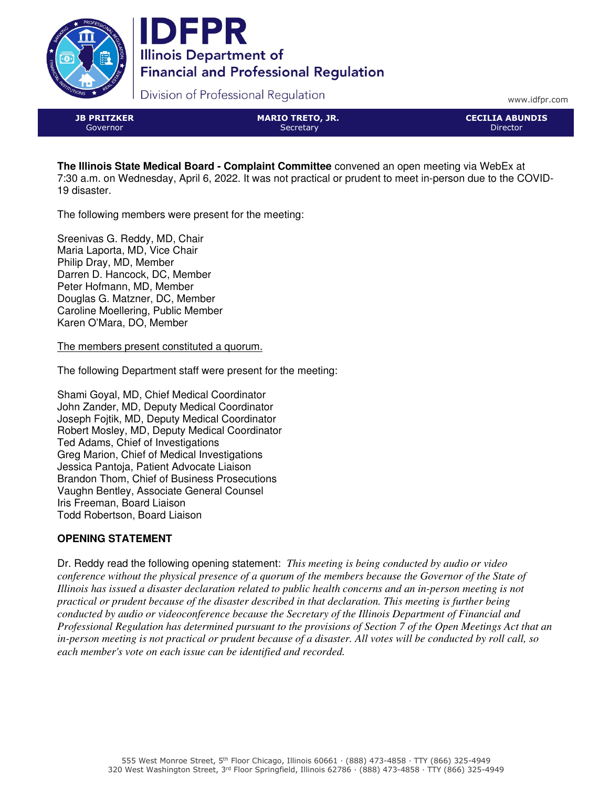



Division of Professional Regulation

www.idfpr.com

| <b>JB PRITZKER</b> |  |
|--------------------|--|
| Governor           |  |

MARIO TRETO, JR. **Secretary** 

CECILIA ABUNDIS Director

**The Illinois State Medical Board - Complaint Committee** convened an open meeting via WebEx at 7:30 a.m. on Wednesday, April 6, 2022. It was not practical or prudent to meet in-person due to the COVID-19 disaster.

The following members were present for the meeting:

Sreenivas G. Reddy, MD, Chair Maria Laporta, MD, Vice Chair Philip Dray, MD, Member Darren D. Hancock, DC, Member Peter Hofmann, MD, Member Douglas G. Matzner, DC, Member Caroline Moellering, Public Member Karen O'Mara, DO, Member

The members present constituted a quorum.

The following Department staff were present for the meeting:

Shami Goyal, MD, Chief Medical Coordinator John Zander, MD, Deputy Medical Coordinator Joseph Fojtik, MD, Deputy Medical Coordinator Robert Mosley, MD, Deputy Medical Coordinator Ted Adams, Chief of Investigations Greg Marion, Chief of Medical Investigations Jessica Pantoja, Patient Advocate Liaison Brandon Thom, Chief of Business Prosecutions Vaughn Bentley, Associate General Counsel Iris Freeman, Board Liaison Todd Robertson, Board Liaison

# **OPENING STATEMENT**

Dr. Reddy read the following opening statement: *This meeting is being conducted by audio or video conference without the physical presence of a quorum of the members because the Governor of the State of Illinois has issued a disaster declaration related to public health concerns and an in-person meeting is not practical or prudent because of the disaster described in that declaration. This meeting is further being conducted by audio or videoconference because the Secretary of the Illinois Department of Financial and Professional Regulation has determined pursuant to the provisions of Section 7 of the Open Meetings Act that an in-person meeting is not practical or prudent because of a disaster. All votes will be conducted by roll call, so each member's vote on each issue can be identified and recorded.*